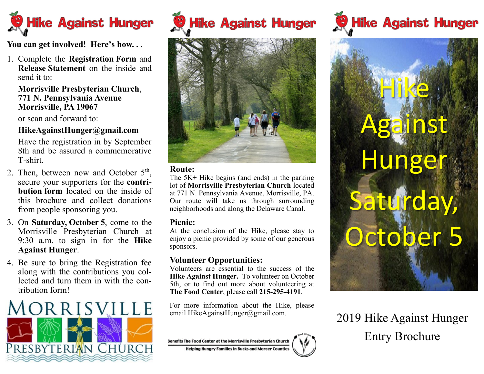

**You can get involved! Here's how. . .**

1. Complete the **Registration Form** and **Release Statement** on the inside and send it to:

### **Morrisville Presbyterian Church**, **771 N. Pennsylvania Avenue Morrisville, PA 19067**

or scan and forward to:

# **HikeAgainstHunger@gmail.com**

Have the registration in by September 8th and be assured a commemorative T-shirt.

- 2. Then, between now and October  $5<sup>th</sup>$ , secure your supporters for the **contribution form** located on the inside of this brochure and collect donations from people sponsoring you.
- 3. On **Saturday, October 5**, come to the Morrisville Presbyterian Church at 9:30 a.m. to sign in for the **Hike Against Hunger**.
- 4. Be sure to bring the Registration fee along with the contributions you collected and turn them in with the contribution form!



Hike Against Hunger



#### **Route:**

The 5K+ Hike begins (and ends) in the parking lot of **Morrisville Presbyterian Church** located at 771 N. Pennsylvania Avenue, Morrisville, PA. Our route will take us through surrounding neighborhoods and along the Delaware Canal.

### **Picnic:**

At the conclusion of the Hike, please stay to enjoy a picnic provided by some of our generous sponsors.

## **Volunteer Opportunities:**

Volunteers are essential to the success of the **Hike Against Hunger.** To volunteer on October 5th, or to find out more about volunteering at **The Food Center**, please call **215-295-4191**.

For more information about the Hike, please email HikeAgainstHunger@gmail.com.









2019 Hike Against Hunger Entry Brochure